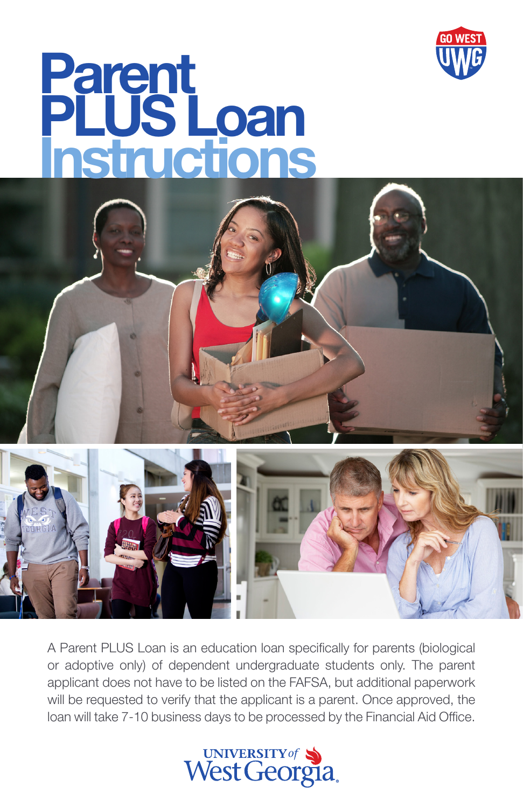

## Parent PLUS Loan Instructions



A Parent PLUS Loan is an education loan specifically for parents (biological or adoptive only) of dependent undergraduate students only. The parent applicant does not have to be listed on the FAFSA, but additional paperwork will be requested to verify that the applicant is a parent. Once approved, the loan will take 7-10 business days to be processed by the Financial Aid Office.